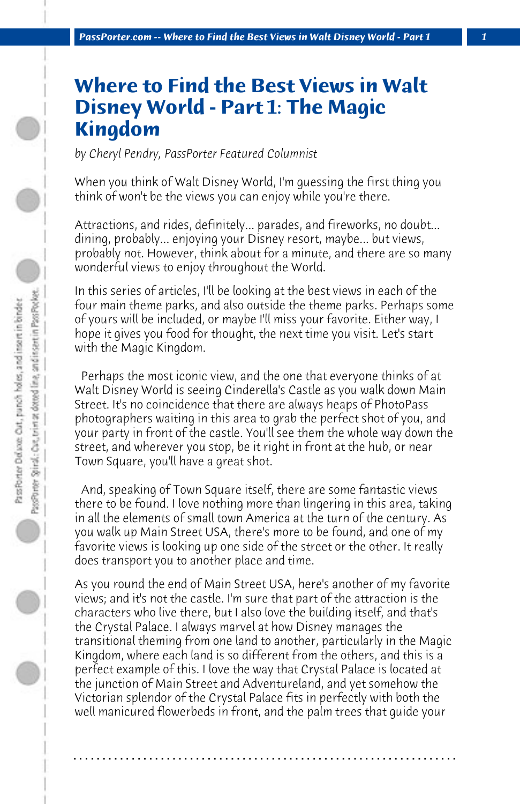## **Where to Find the Best Views in Walt Disney World - Part 1: The Magic Kingdom**

*by Cheryl Pendry, PassPorter Featured Columnist*

When you think of Walt Disney World, I'm guessing the first thing you think of won't be the views you can enjoy while you're there.

Attractions, and rides, definitely... parades, and fireworks, no doubt... dining, probably... enjoying your Disney resort, maybe... but views, probably not. However, think about for a minute, and there are so many wonderful views to enjoy throughout the World.

In this series of articles, I'll be looking at the best views in each of the four main theme parks, and also outside the theme parks. Perhaps some of yours will be included, or maybe I'll miss your favorite. Either way, I hope it gives you food for thought, the next time you visit. Let's start with the Magic Kingdom.

 Perhaps the most iconic view, and the one that everyone thinks of at Walt Disney World is seeing Cinderella's Castle as you walk down Main Street. It's no coincidence that there are always heaps of PhotoPass photographers waiting in this area to grab the perfect shot of you, and your party in front of the castle. You'll see them the whole way down the street, and wherever you stop, be it right in front at the hub, or near Town Square, you'll have a great shot.

 And, speaking of Town Square itself, there are some fantastic views there to be found. I love nothing more than lingering in this area, taking in all the elements of small town America at the turn of the century. As you walk up Main Street USA, there's more to be found, and one of my favorite views is looking up one side of the street or the other. It really does transport you to another place and time.

As you round the end of Main Street USA, here's another of my favorite views; and it's not the castle. I'm sure that part of the attraction is the characters who live there, but I also love the building itself, and that's the Crystal Palace. I always marvel at how Disney manages the transitional theming from one land to another, particularly in the Magic Kingdom, where each land is so different from the others, and this is a perfect example of this. I love the way that Crystal Palace is located at the junction of Main Street and Adventureland, and yet somehow the Victorian splendor of the Crystal Palace fits in perfectly with both the well manicured flowerbeds in front, and the palm trees that guide your

**. . . . . . . . . . . . . . . . . . . . . . . . . . . . . . . . . . . . . . . . . . . . . . . . . . . . . . . . . . . . . . . . . .**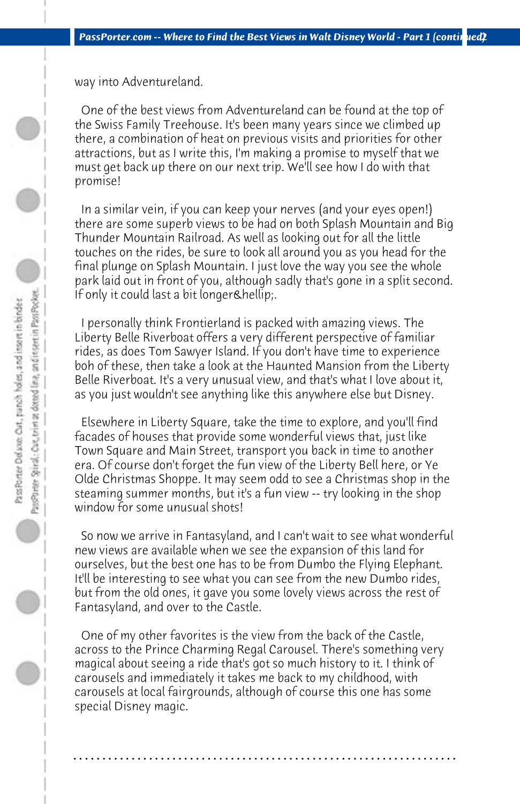way into Adventureland.

 One of the best views from Adventureland can be found at the top of the Swiss Family Treehouse. It's been many years since we climbed up there, a combination of heat on previous visits and priorities for other attractions, but as I write this, I'm making a promise to myself that we must get back up there on our next trip. We'll see how I do with that promise!

 In a similar vein, if you can keep your nerves (and your eyes open!) there are some superb views to be had on both Splash Mountain and Big Thunder Mountain Railroad. As well as looking out for all the little touches on the rides, be sure to look all around you as you head for the final plunge on Splash Mountain. I just love the way you see the whole park laid out in front of you, although sadly that's gone in a split second. If only it could last a bit longer & hellip;.

 I personally think Frontierland is packed with amazing views. The Liberty Belle Riverboat offers a very different perspective of familiar rides, as does Tom Sawyer Island. If you don't have time to experience boh of these, then take a look at the Haunted Mansion from the Liberty Belle Riverboat. It's a very unusual view, and that's what I love about it, as you just wouldn't see anything like this anywhere else but Disney.

 Elsewhere in Liberty Square, take the time to explore, and you'll find facades of houses that provide some wonderful views that, just like Town Square and Main Street, transport you back in time to another era. Of course don't forget the fun view of the Liberty Bell here, or Ye Olde Christmas Shoppe. It may seem odd to see a Christmas shop in the steaming summer months, but it's a fun view -- try looking in the shop window for some unusual shots!

 So now we arrive in Fantasyland, and I can't wait to see what wonderful new views are available when we see the expansion of this land for ourselves, but the best one has to be from Dumbo the Flying Elephant. It'll be interesting to see what you can see from the new Dumbo rides, but from the old ones, it gave you some lovely views across the rest of Fantasyland, and over to the Castle.

 One of my other favorites is the view from the back of the Castle, across to the Prince Charming Regal Carousel. There's something very magical about seeing a ride that's got so much history to it. I think of carousels and immediately it takes me back to my childhood, with carousels at local fairgrounds, although of course this one has some special Disney magic.

**. . . . . . . . . . . . . . . . . . . . . . . . . . . . . . . . . . . . . . . . . . . . . . . . . . . . . . . . . . . . . . . . . .**